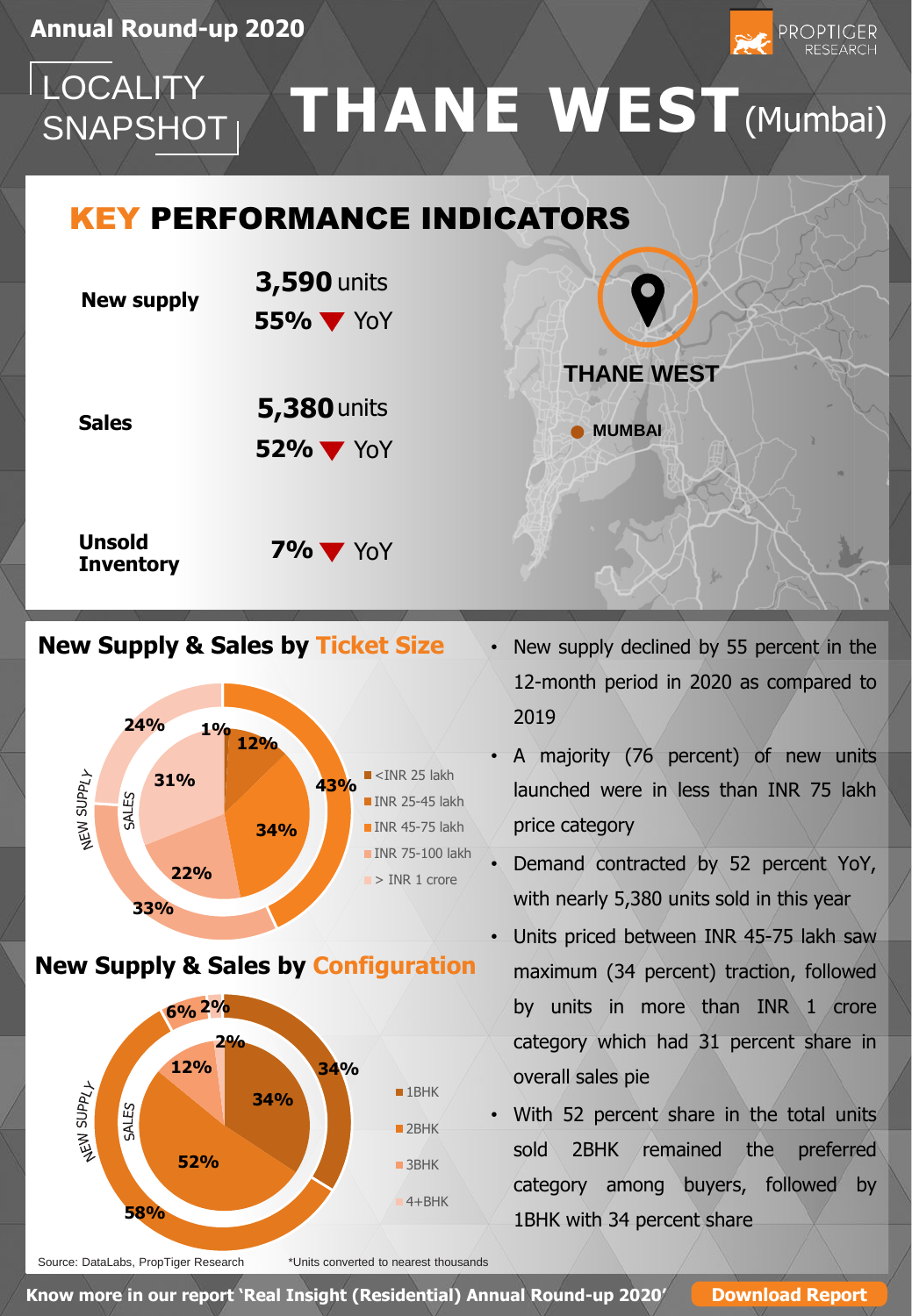## **LOCALITY** SNAPSHOT **THANE WEST**(Mumbai)

## KEY PERFORMANCE INDICATORS

| <b>New supply</b>                 | <b>3,590</b> units<br>$55\%$ $\blacktriangledown$ YoY |
|-----------------------------------|-------------------------------------------------------|
| <b>Sales</b>                      | <b>5,380 units</b><br>$52\%$ $\blacktriangledown$ YoY |
| <b>Unsold</b><br><b>Inventory</b> | <b>7% V</b> YoY                                       |

#### **New Supply & Sales by Ticket Size**



**New Supply & Sales by Configuration**



New supply declined by 55 percent in the 12-month period in 2020 as compared to 2019

**THANE WEST**

PROPTIGER

**MUMBAI**

- A majority (76 percent) of new units launched were in less than INR 75 lakh price category
- Demand contracted by 52 percent YoY, with nearly 5,380 units sold in this year
- Units priced between INR 45-75 lakh saw maximum (34 percent) traction, followed by units in more than INR 1 crore category which had 31 percent share in overall sales pie
- With 52 percent share in the total units sold 2BHK remained the preferred category among buyers, followed by 1BHK with 34 percent share

Source: DataLabs, PropTiger Research

\*Units converted to nearest thousands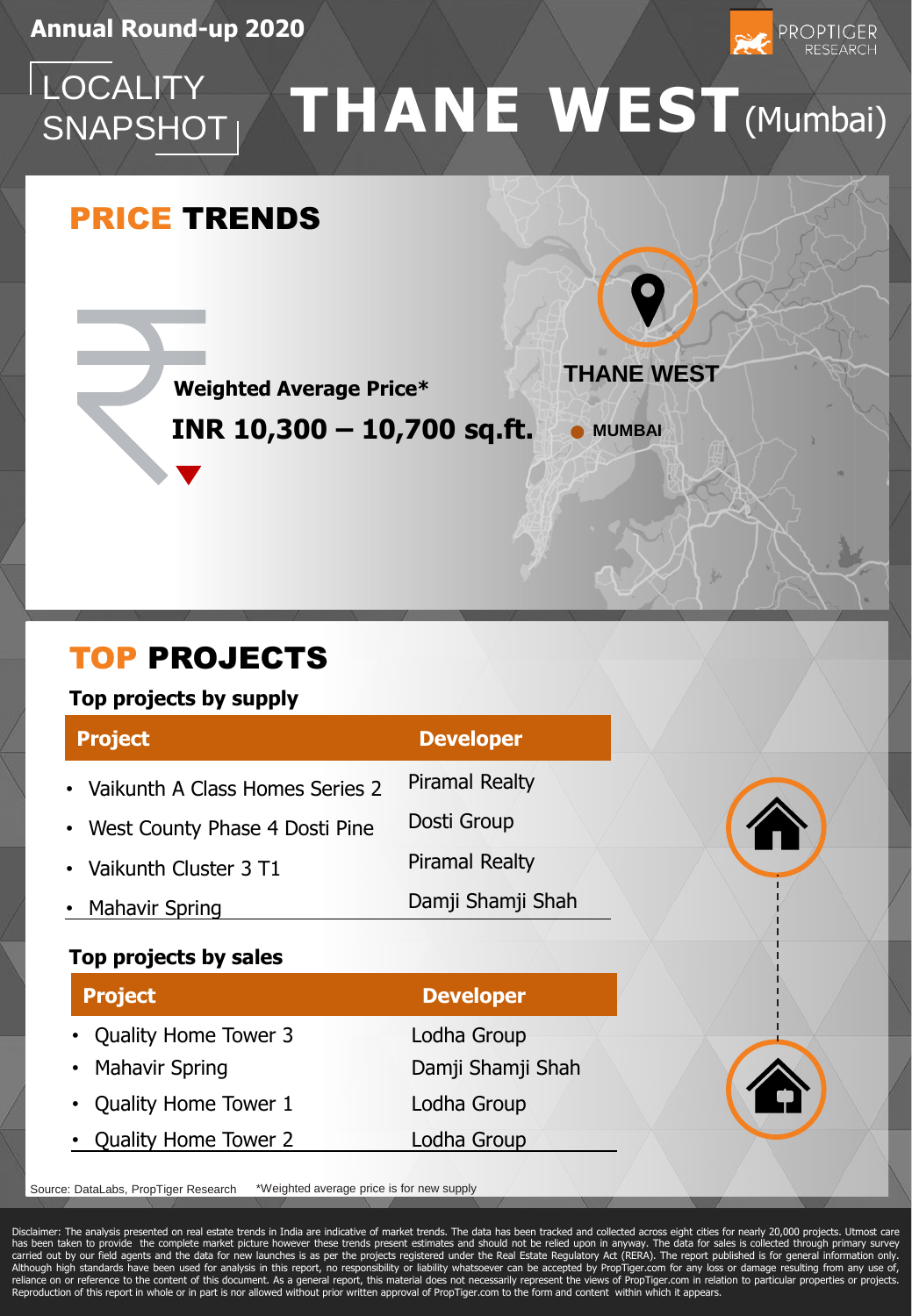

#### **LOCALITY** SNAPSHOT **THANE WEST**(Mumbai)

## PRICE TRENDS



**INR 10,300 - 10,700 sq.ft.** • MUMBAI



### TOP PROJECTS

#### **Top projects by supply**

| <b>Project</b>                     | <b>Developer</b>      |  |  |
|------------------------------------|-----------------------|--|--|
| • Vaikunth A Class Homes Series 2  | <b>Piramal Realty</b> |  |  |
| • West County Phase 4 Dosti Pine   | Dosti Group           |  |  |
| • Vaikunth Cluster 3 T1            | <b>Piramal Realty</b> |  |  |
| <b>Mahavir Spring</b><br>$\bullet$ | Damji Shamji Shah     |  |  |
| Top projects by sales              |                       |  |  |

### **Project Developer** • Quality Home Tower 3 Lodha Group • Mahavir Spring Damji Shamji Shah • Quality Home Tower 1 Lodha Group • Quality Home Tower 2 Lodha Group



Source: DataLabs, PropTiger Research \*Weighted average price is for new supply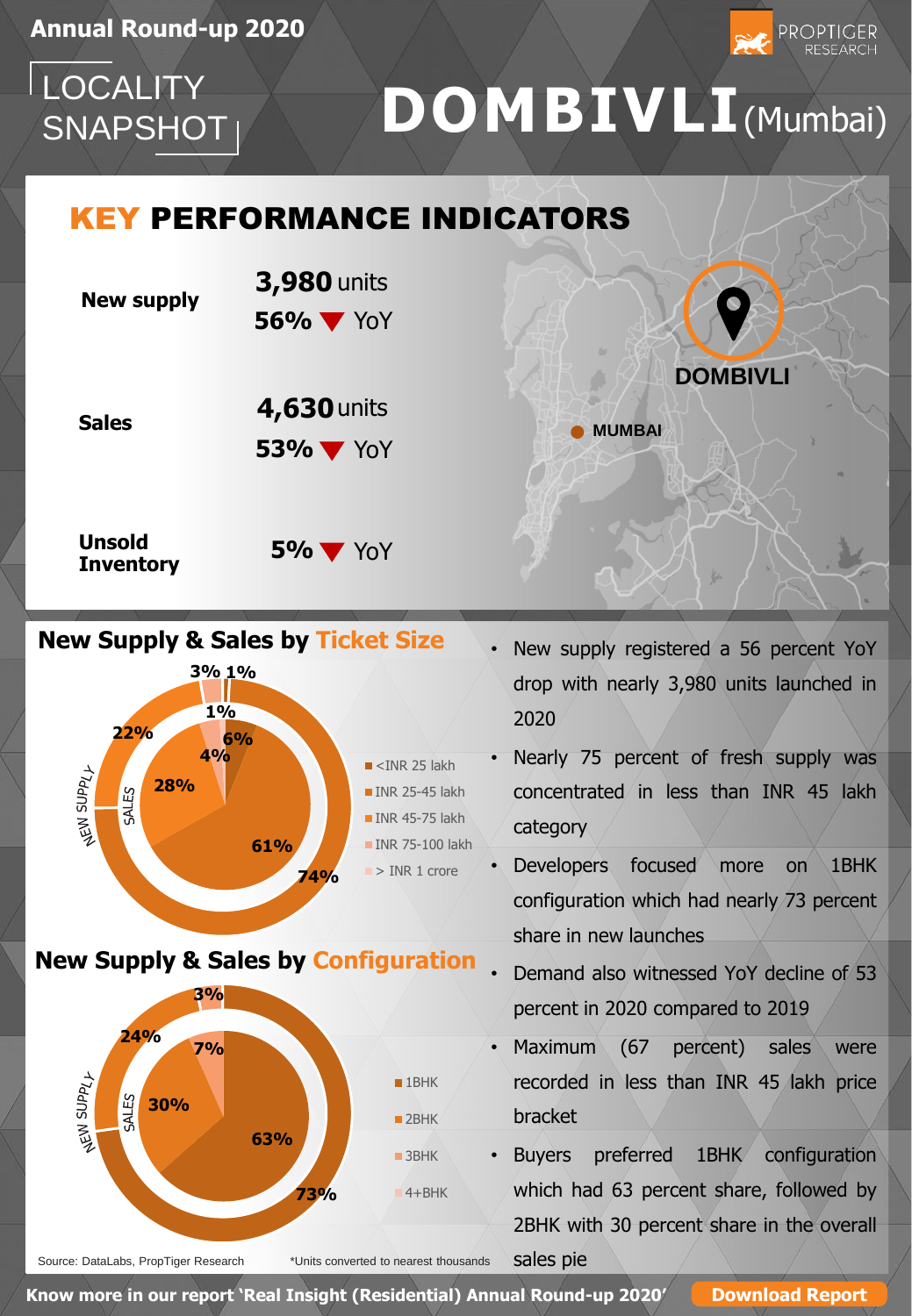**LOCALITY** 

LOCALITY<br>SNAPSHOT **DOMBIVLI** (Mumbai)

**MUMBAI**

### KEY PERFORMANCE INDICATORS

| <b>New supply</b>          | <b>3,980</b> units<br><b>56% V</b> YoY |
|----------------------------|----------------------------------------|
| <b>Sales</b>               | 4,630 units<br><b>53% V</b> YoY        |
| Unsold<br><b>Inventory</b> | $5\%$ $\blacktriangledown$ YoY         |

#### **New Supply & Sales by Ticket Size**



**New Supply & Sales by Configuration**



• New supply registered a 56 percent YoY drop with nearly 3,980 units launched in 2020

**DOMBIVLI**

PROPTIGER

- Nearly 75 percent of fresh supply was concentrated in less than INR 45 lakh category
- Developers focused more on 1BHK configuration which had nearly 73 percent share in new launches
- Demand also witnessed YoY decline of 53 percent in 2020 compared to 2019
- Maximum (67 percent) sales were recorded in less than INR 45 lakh price bracket
- Buyers preferred 1BHK configuration which had 63 percent share, followed by 2BHK with 30 percent share in the overall sales pie

Source: DataLabs, PropTiger Research

\*Units converted to nearest thousands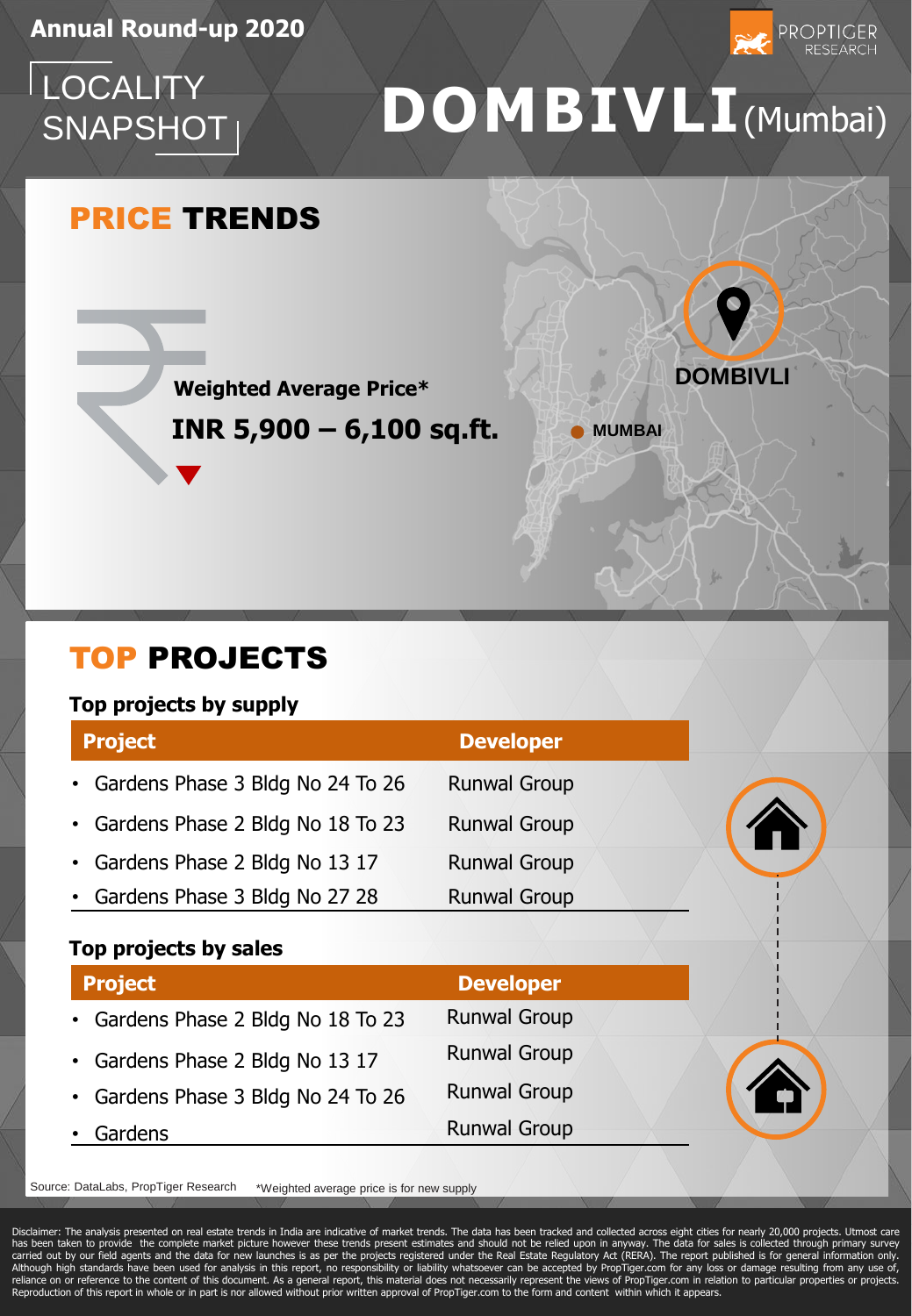**LOCALITY** SNAPSHOT

## **DOMBIVLI**(Mumbai)

## PRICE TRENDS

**Weighted Average Price\***

**INR 5,900 - 6,100 sq.ft. ••** MUMBAI

**DOMBIVLI**

**PROPTIGER** RESEARCH

### TOP PROJECTS

#### **Top projects by supply**

| <b>Project</b>                     | <b>Developer</b>    |   |
|------------------------------------|---------------------|---|
| • Gardens Phase 3 Bldg No 24 To 26 | <b>Runwal Group</b> |   |
| • Gardens Phase 2 Bldg No 18 To 23 | <b>Runwal Group</b> | A |
| • Gardens Phase 2 Bldg No 13 17    | <b>Runwal Group</b> |   |
| • Gardens Phase 3 Bldg No 27 28    | <b>Runwal Group</b> |   |

#### **Top projects by sales**

| <b>Project</b>                     | <b>Developer</b>    |
|------------------------------------|---------------------|
| • Gardens Phase 2 Bldg No 18 To 23 | <b>Runwal Group</b> |
| • Gardens Phase 2 Bldg No 13 17    | <b>Runwal Group</b> |
| • Gardens Phase 3 Bldg No 24 To 26 | <b>Runwal Group</b> |
| • Gardens                          | <b>Runwal Group</b> |



Source: DataLabs, PropTiger Research \*Weighted average price is for new supply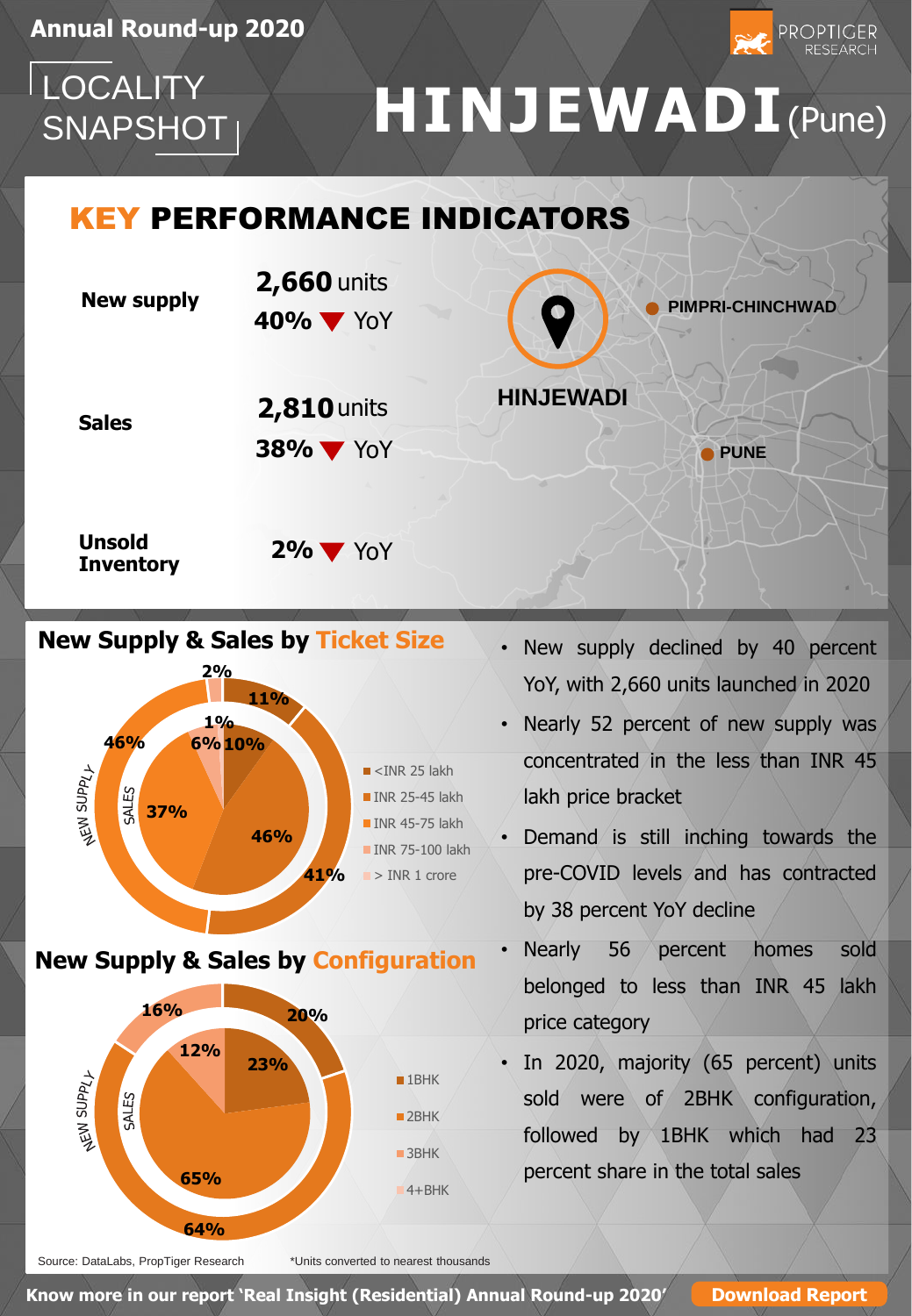# **LOCALITY**

## LOCALITY<br>SNAPSHOT **HINJEWADI**(Pune)

PROPTIGER

## KEY PERFORMANCE INDICATORS



#### **New Supply & Sales by Ticket Size**



- New supply declined by 40 percent YoY, with 2,660 units launched in 2020
- Nearly 52 percent of new supply was concentrated in the less than INR 45 lakh price bracket
- Demand is still inching towards the pre-COVID levels and has contracted by 38 percent YoY decline
- Nearly 56 percent homes sold belonged to less than INR 45 lakh price category
- In 2020, majority (65 percent) units sold were of 2BHK configuration, followed by 1BHK which had 23 percent share in the total sales

Source: DataLabs, PropTiger Research

\*Units converted to nearest thousands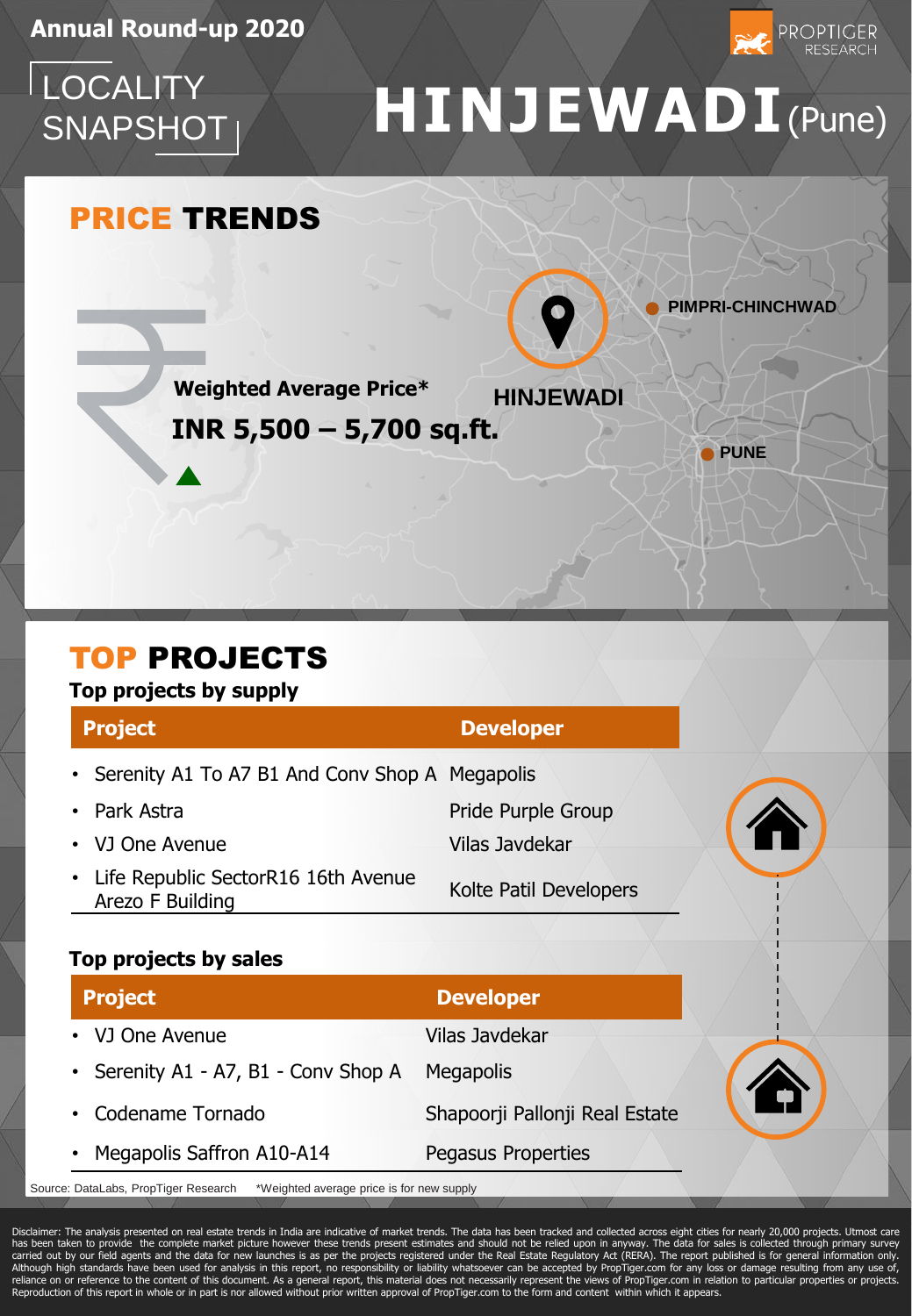**LOCALITY** SNAPSHOT

## **HINJEWADI**(Pune)

PROPTIGER<br>RESEARCH

## PRICE TRENDS



### TOP PROJECTS

#### **Top projects by supply**

| <b>Project</b>                                            | <b>Developer</b>               |
|-----------------------------------------------------------|--------------------------------|
| • Serenity A1 To A7 B1 And Conv Shop A Megapolis          |                                |
| • Park Astra                                              | Pride Purple Group             |
| • VJ One Avenue                                           | Vilas Javdekar                 |
| • Life Republic SectorR16 16th Avenue<br>Arezo F Building | Kolte Patil Developers         |
| Top projects by sales                                     |                                |
| <b>Project</b>                                            | <b>Developer</b>               |
| • VJ One Avenue                                           | Vilas Javdekar                 |
| • Serenity A1 - A7, B1 - Conv Shop A                      | Megapolis                      |
| Codename Tornado                                          | Shapoorji Pallonji Real Estate |

Megapolis Saffron A10-A14 Pegasus Properties

Source: DataLabs, PropTiger Research \*Weighted average price is for new supply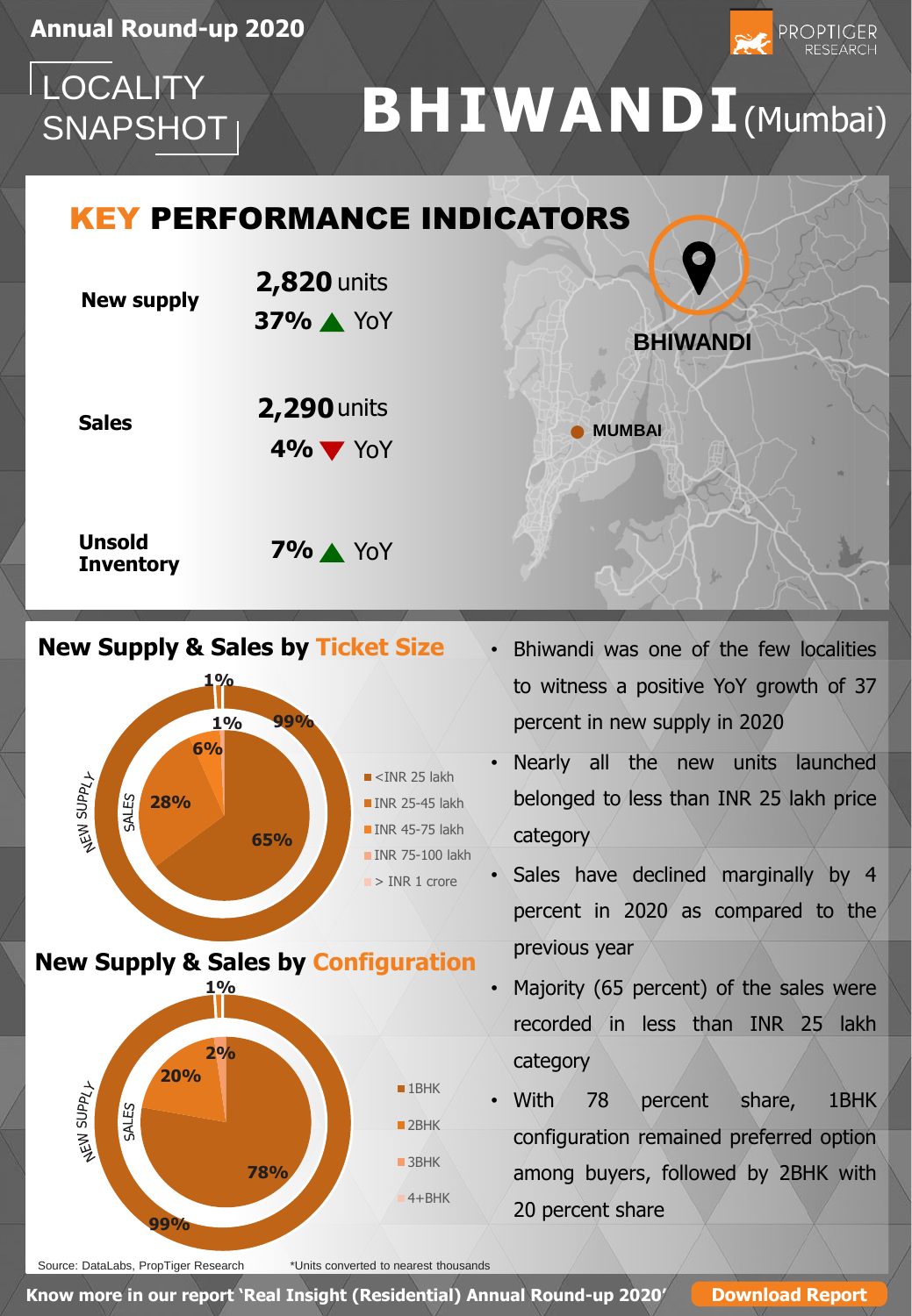**LOCALITY** 

## LOCALITY<br>SNAPSHOT<sub>I</sub> BHIWANDI(Mumbai)

**MUMBAI**

## KEY PERFORMANCE INDICATORS

| <b>New supply</b>                 | <b>2,820 units</b><br>37% A YoY                      |
|-----------------------------------|------------------------------------------------------|
| <b>Sales</b>                      | <b>2,290</b> units<br>$4\%$ $\blacktriangledown$ YoY |
| <b>Unsold</b><br><b>Inventory</b> | <b>7% A</b> YoY                                      |

#### **New Supply & Sales by Ticket Size**



**New Supply & Sales by Configuration**



• Bhiwandi was one of the few localities to witness a positive YoY growth of 37 percent in new supply in 2020

**BHIWANDI**

PROPTIGER

- Nearly all the new units launched belonged to less than INR 25 lakh price category
- Sales have declined marginally by 4 percent in 2020 as compared to the previous year
- Majority (65 percent) of the sales were recorded in less than INR 25 lakh category
- With 78 percent share, 1BHK configuration remained preferred option among buyers, followed by 2BHK with 20 percent share

Source: DataLabs, PropTiger Research

\*Units converted to nearest thousands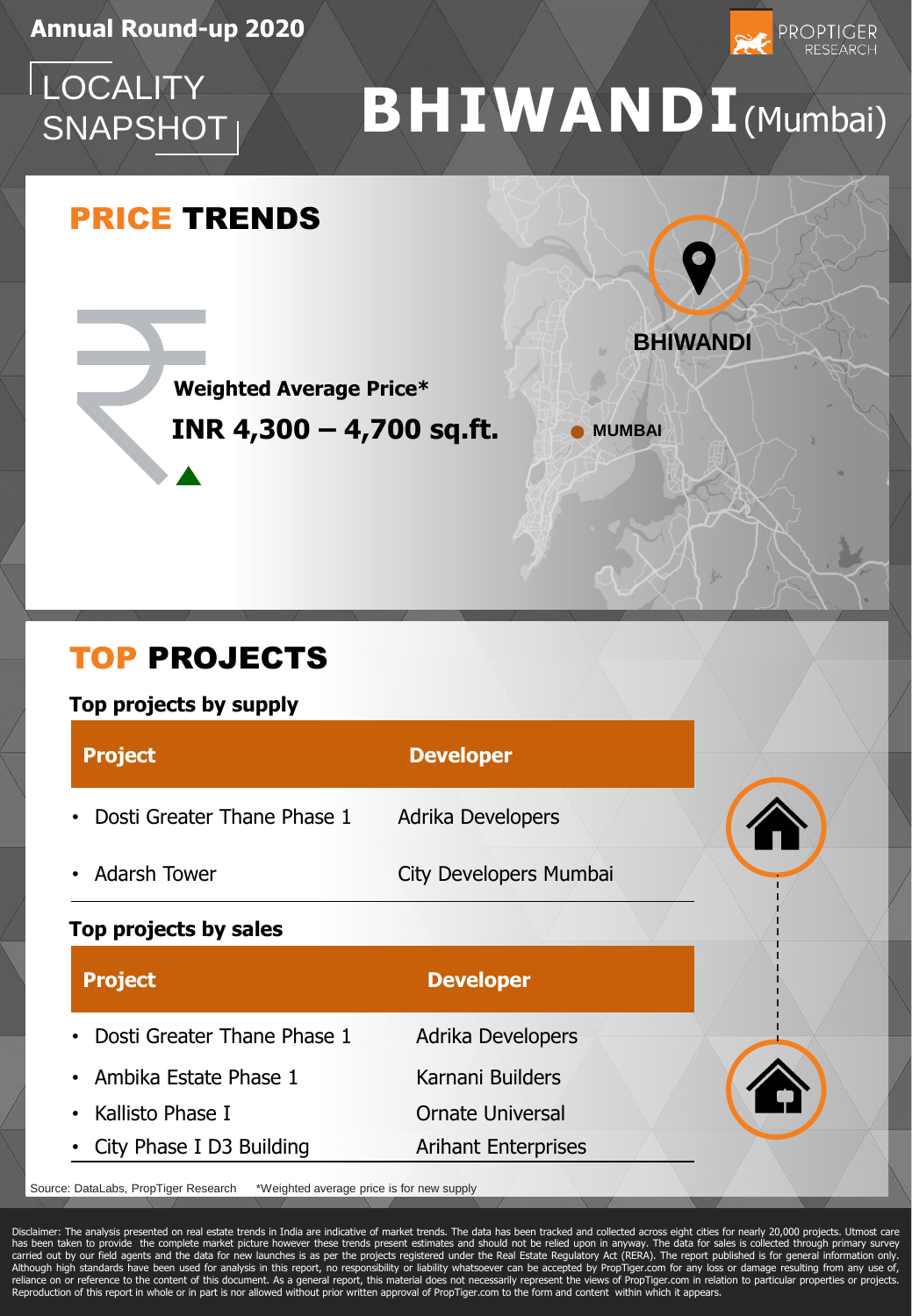**LOCALITY** SNAPSHOT

## **BHIWANDI**(Mumbai)

**MUMBAI**

## PRICE TRENDS



**PROPTIGER** 

**Weighted Average Price\***

**INR 4,300 – 4,700 sq.ft.**

### TOP PROJECTS

#### **Top projects by supply**

| <b>Project</b>                | <b>Developer</b>           |
|-------------------------------|----------------------------|
| Dosti Greater Thane Phase 1   | Adrika Developers          |
| • Adarsh Tower                | City Developers Mumbai     |
| Top projects by sales         |                            |
| <b>Project</b>                | <b>Developer</b>           |
| Dosti Greater Thane Phase 1   | <b>Adrika Developers</b>   |
| • Ambika Estate Phase 1       | Karnani Builders           |
| Kallisto Phase I<br>$\bullet$ | <b>Ornate Universal</b>    |
| City Phase I D3 Building      | <b>Arihant Enterprises</b> |

Source: DataLabs, PropTiger Research \*Weighted average price is for new supply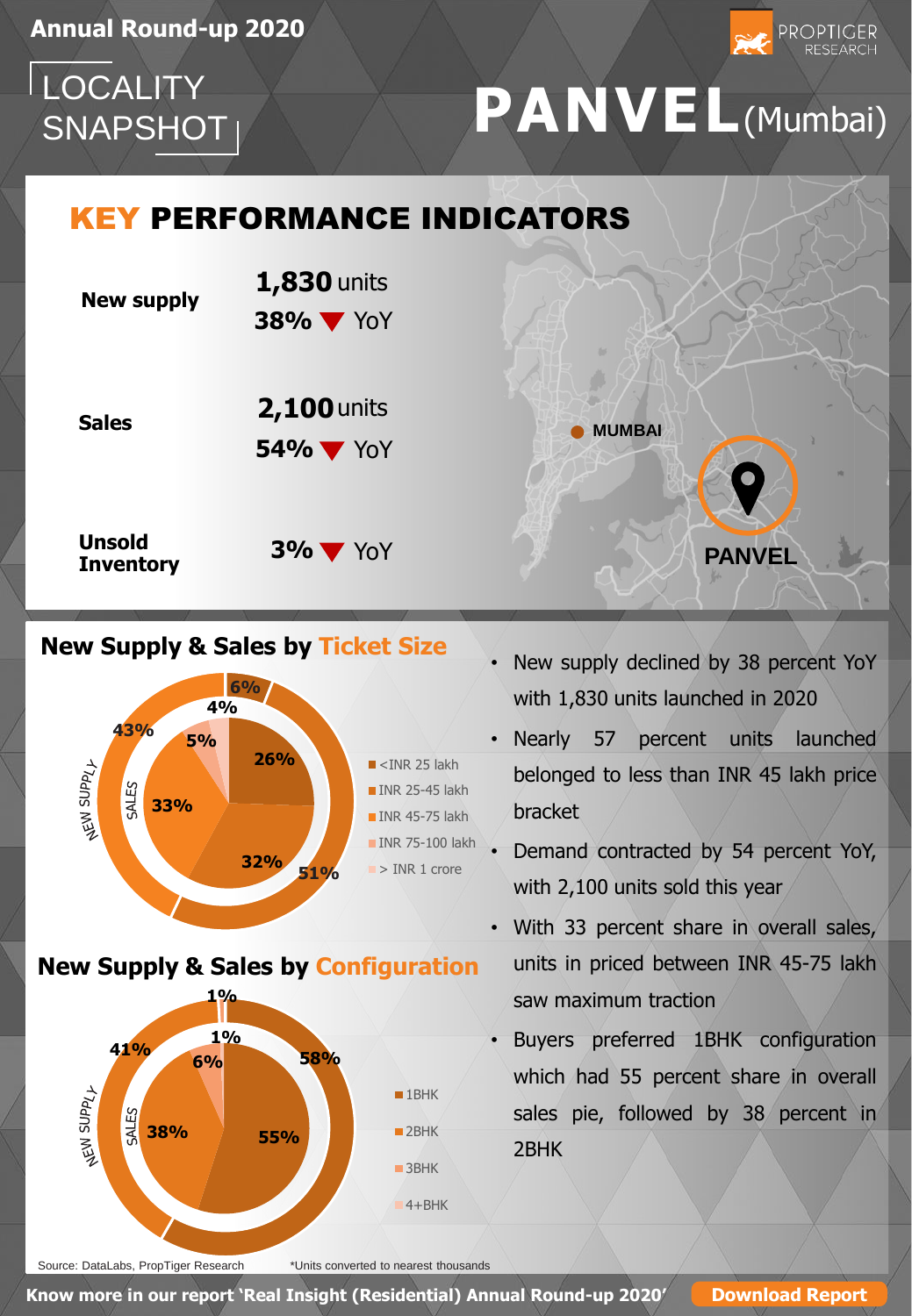# **LOCALITY**

## LOCALITY<br>SNAPSHOT **PANVEL**(Mumbai)

PROPTIGER

### KEY PERFORMANCE INDICATORS

| <b>New supply</b>                 | $1,830$ units<br>$38\%$ $\blacktriangledown$ YoY      |
|-----------------------------------|-------------------------------------------------------|
| <b>Sales</b>                      | <b>2,100 units</b><br>$54\%$ $\blacktriangledown$ YoY |
| <b>Unsold</b><br><b>Inventory</b> | $3\%$ $\blacktriangledown$ YoY                        |

#### **New Supply & Sales by Ticket Size**





• New supply declined by 38 percent YoY with 1,830 units launched in 2020

**PANVEL**

**MUMBAI**

- Nearly 57 percent units launched belonged to less than INR 45 lakh price bracket
- Demand contracted by 54 percent YoY, with 2,100 units sold this year
- With 33 percent share in overall sales, units in priced between INR 45-75 lakh saw maximum traction
- Buyers preferred 1BHK configuration which had 55 percent share in overall sales pie, followed by 38 percent in 2BHK

Source: DataLabs, PropTiger Research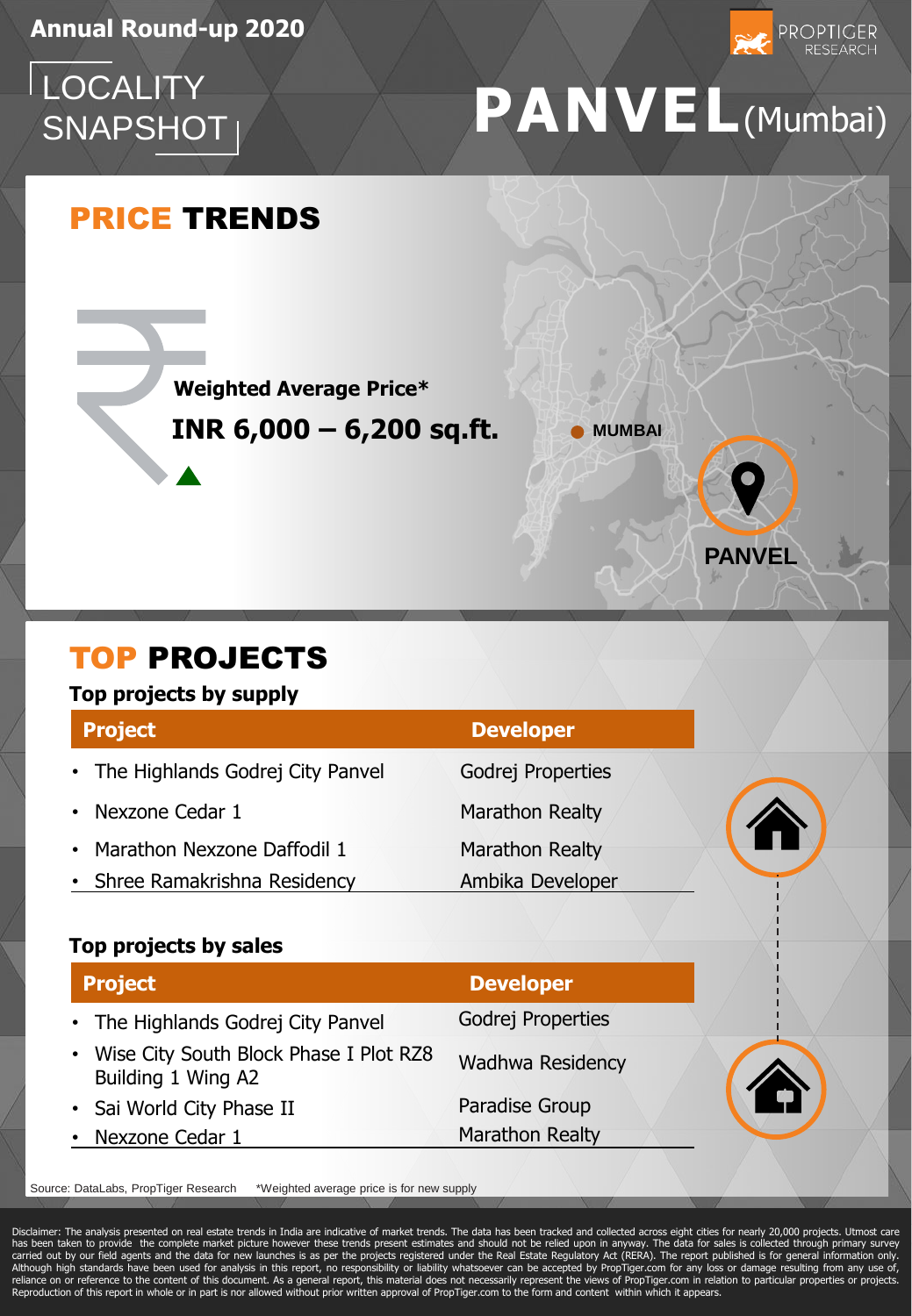PROPTIGER<br>RESEARCH

# **LOCALITY**

## LOCALITY<br>SNAPSHOT<sub>I</sub> PANVEL<sub>(Mumbai)</sub>

**PANVEL**

## PRICE TRENDS

**Weighted Average Price\***

**INR 6,000 - 6,200 sq.ft.** • MUMBAI

### TOP PROJECTS

#### **Top projects by supply**

| <b>Project</b>                     | <b>Developer</b>  |              |
|------------------------------------|-------------------|--------------|
| • The Highlands Godrej City Panvel | Godrej Properties |              |
| • Nexzone Cedar 1                  | Marathon Realty   |              |
| • Marathon Nexzone Daffodil 1      | Marathon Realty   | $\mathbf{L}$ |
| • Shree Ramakrishna Residency      | Ambika Developer  |              |

#### **Top projects by sales**

| <b>Project</b>                                                 | <b>Developer</b>        |  |
|----------------------------------------------------------------|-------------------------|--|
| • The Highlands Godrej City Panvel                             | Godrej Properties       |  |
| • Wise City South Block Phase I Plot RZ8<br>Building 1 Wing A2 | <b>Wadhwa Residency</b> |  |
| • Sai World City Phase II                                      | Paradise Group          |  |
| • Nexzone Cedar 1                                              | Marathon Realty         |  |
|                                                                |                         |  |

Source: DataLabs, PropTiger Research \*Weighted average price is for new supply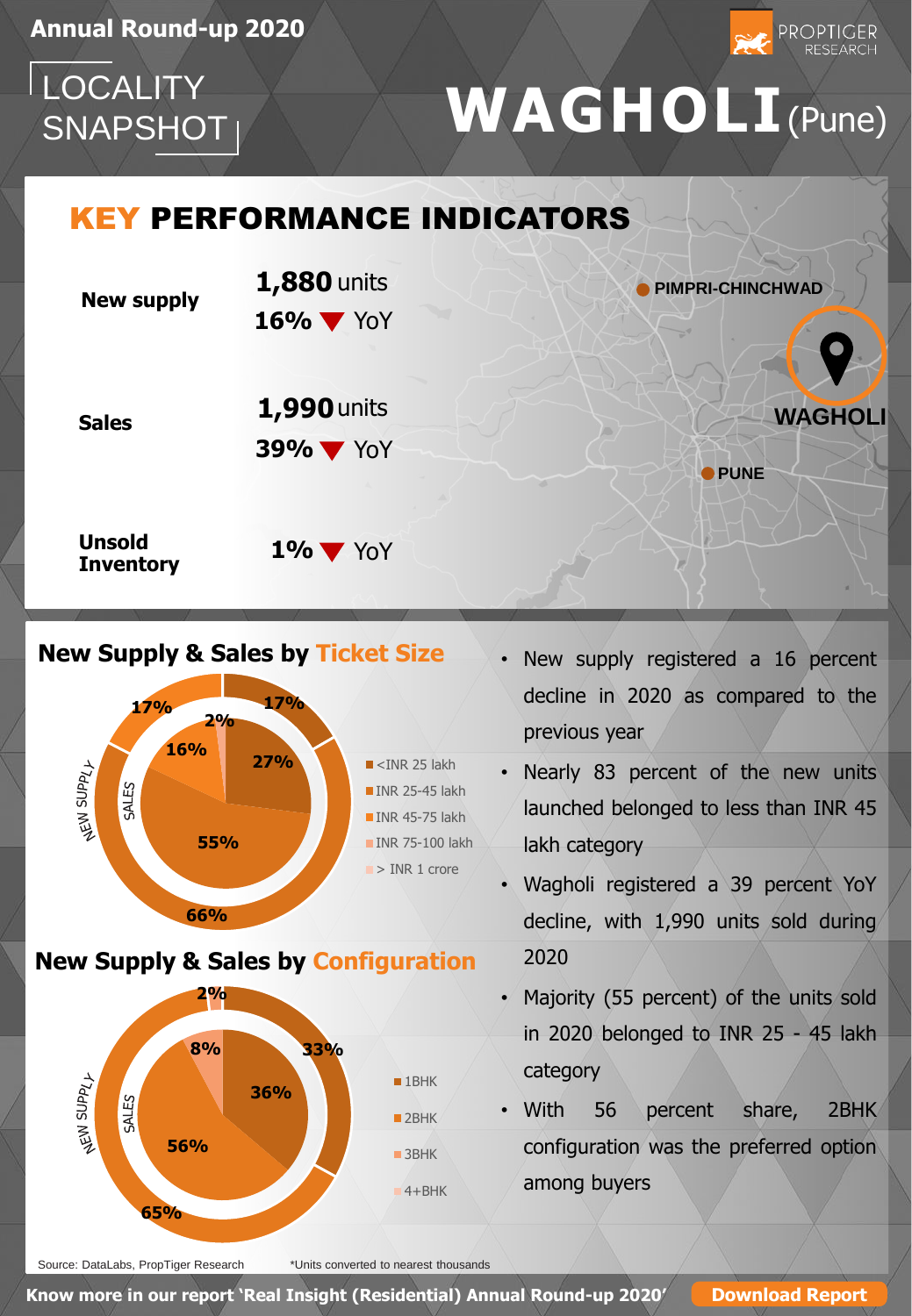# **LOCALITY**

## LOCALITY<br>SNAPSHOT<sub>I</sub> WAGHOLI(Pune)

**PROPTIGER** 

## KEY PERFORMANCE INDICATORS



#### **New Supply & Sales by Ticket Size**



**New Supply & Sales by Configuration**



- New supply registered a 16 percent decline in 2020 as compared to the previous year
- Nearly 83 percent of the new units launched belonged to less than INR 45 lakh category
- Wagholi registered a 39 percent YoY decline, with 1,990 units sold during 2020
- Majority (55 percent) of the units sold in 2020 belonged to INR 25 - 45 lakh category
- With 56 percent share, 2BHK configuration was the preferred option among buyers

Source: DataLabs, PropTiger Research

\*Units converted to nearest thousands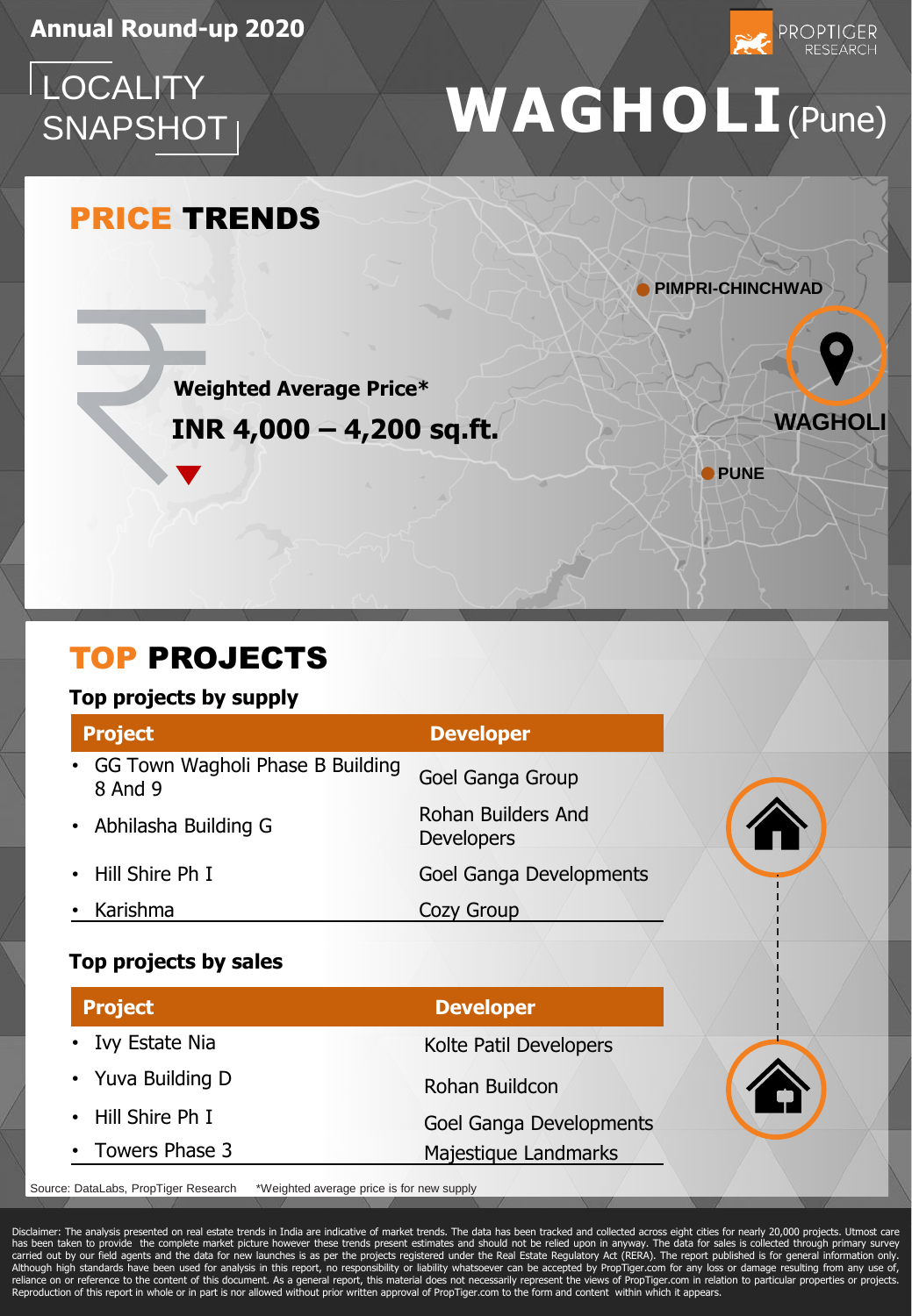**LOCALITY** SNAPSHOT



### PRICE TRENDS

**PIMPRI-CHINCHWAD**

**PUNE**

**WAGHOLI**

**PROPTIGER** RESEARCH

**Weighted Average Price\***

**INR 4,000 – 4,200 sq.ft.**

#### TOP PROJECTS

#### **Top projects by supply**

| <b>Project</b>                                | <b>Developer</b>                        |  |
|-----------------------------------------------|-----------------------------------------|--|
| • GG Town Wagholi Phase B Building<br>8 And 9 | Goel Ganga Group                        |  |
| • Abhilasha Building G                        | Rohan Builders And<br><b>Developers</b> |  |
| • Hill Shire Ph I                             | <b>Goel Ganga Developments</b>          |  |
| Karishma                                      | Cozy Group                              |  |

#### **Top projects by sales**

| <b>Project</b>              | <b>Developer</b>               |
|-----------------------------|--------------------------------|
| Ivy Estate Nia<br>$\bullet$ | Kolte Patil Developers         |
| • Yuva Building D           | Rohan Buildcon                 |
| • Hill Shire Ph I           | <b>Goel Ganga Developments</b> |
| • Towers Phase 3            | Majestique Landmarks           |

Source: DataLabs, PropTiger Research \*Weighted average price is for new supply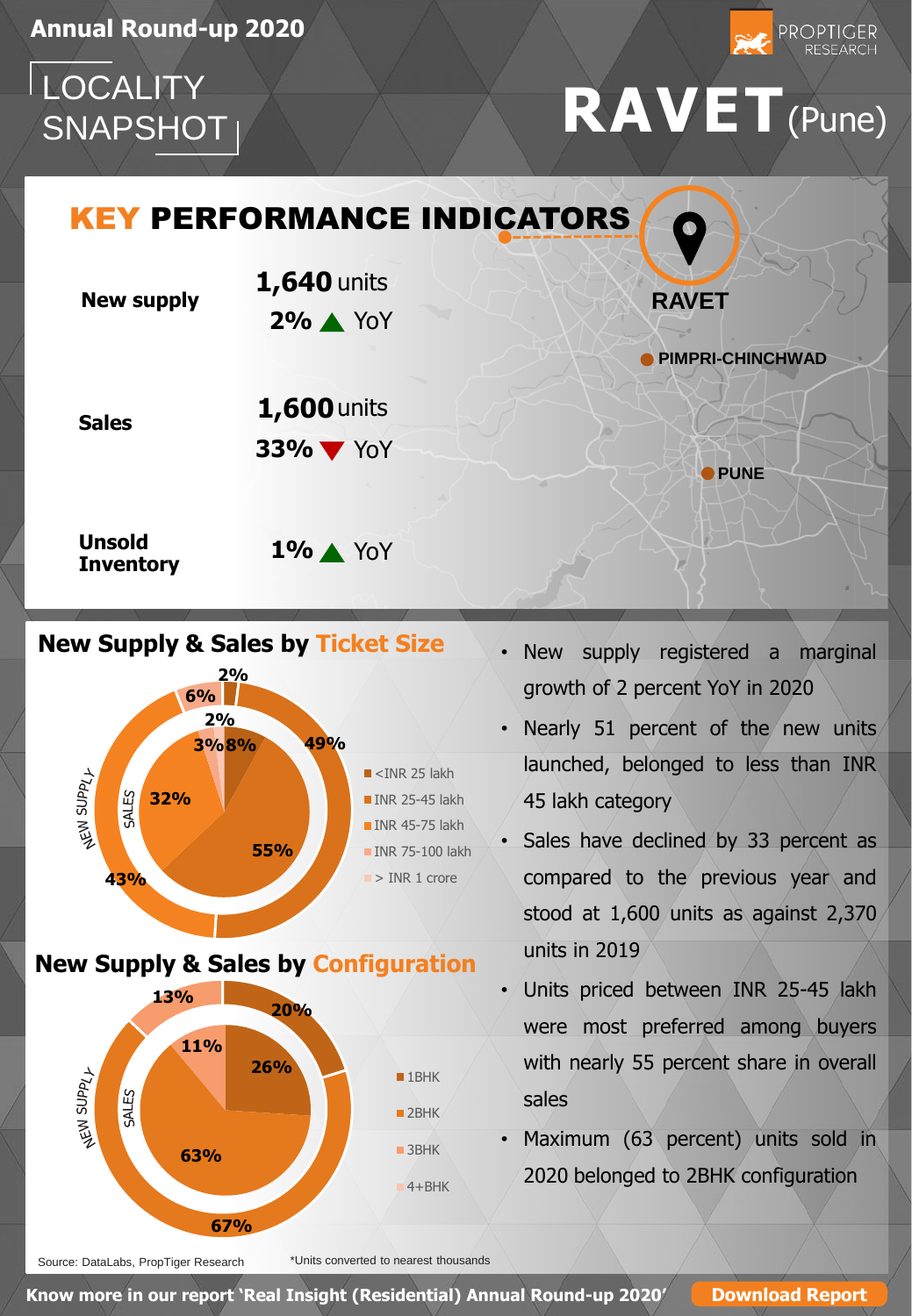# LOCALITY

## LOCALITY<br>SNAPSHOT<sub>I</sub>



#### **New Supply & Sales by Ticket Size**





- New supply registered a marginal growth of 2 percent YoY in 2020
- Nearly 51 percent of the new units launched, belonged to less than INR 45 lakh category
- Sales have declined by 33 percent as compared to the previous year and stood at 1,600 units as against 2,370 units in 2019
- Units priced between INR 25-45 lakh were most preferred among buyers with nearly 55 percent share in overall sales
- Maximum (63 percent) units sold in 2020 belonged to 2BHK configuration

Source: DataLabs, PropTiger Research

\*Units converted to nearest thousands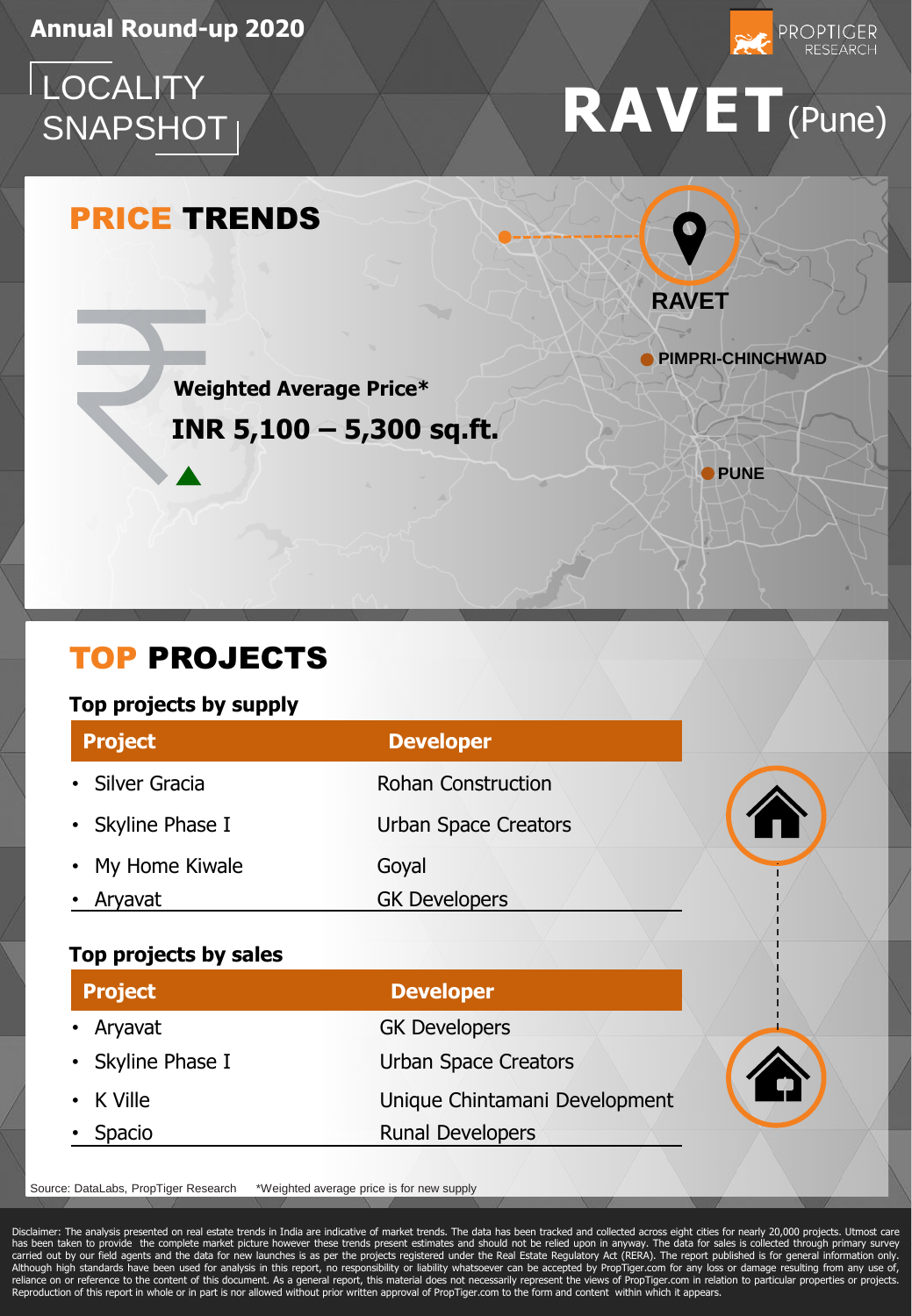**LOCALITY** SNAPSHOT

## **RAVET**(Pune)

PROPTIGER<br>RESEARCH

### PRICE TRENDS



**PIMPRI-CHINCHWAD**

**PUNE**

**Weighted Average Price\***

**INR 5,100 – 5,300 sq.ft.**

### TOP PROJECTS

#### **Top projects by supply**

| <b>Project</b>    | <b>Developer</b>            |   |
|-------------------|-----------------------------|---|
| • Silver Gracia   | <b>Rohan Construction</b>   |   |
| • Skyline Phase I | <b>Urban Space Creators</b> | n |
| • My Home Kiwale  | Goyal                       |   |
| Aryavat           | <b>GK Developers</b>        |   |

#### **Top projects by sales**

| <b>Project</b>    | <b>Developer</b>              |          |
|-------------------|-------------------------------|----------|
| • Aryavat         | <b>GK Developers</b>          |          |
| • Skyline Phase I | <b>Urban Space Creators</b>   |          |
| $\cdot$ K Ville   | Unique Chintamani Development | <b>n</b> |
| Spacio            | <b>Runal Developers</b>       |          |

Source: DataLabs, PropTiger Research \*Weighted average price is for new supply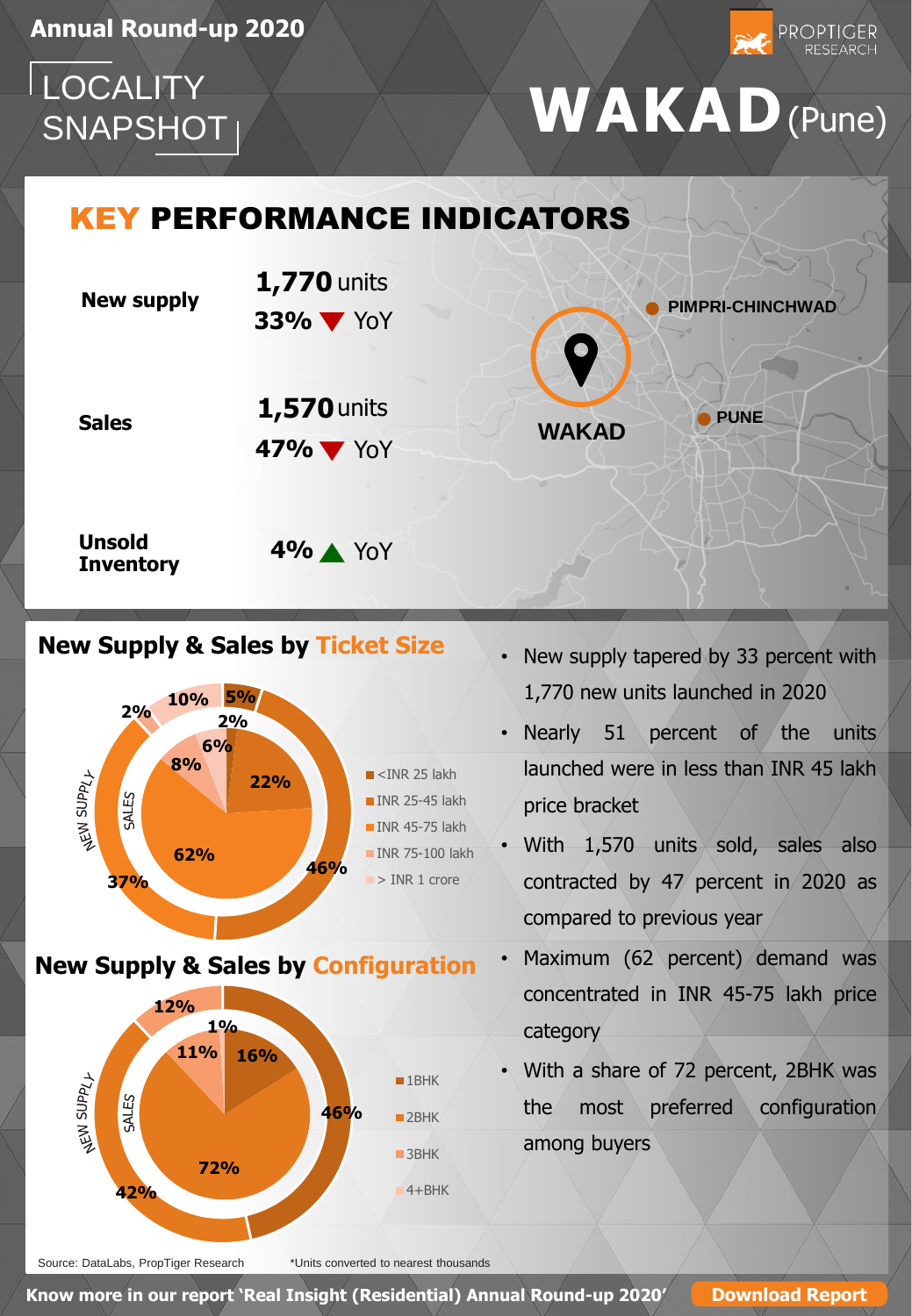# LOCALITY

## LOCALITY<br>SNAPSHOT<sub>I</sub>

PROPTIGER

### KEY PERFORMANCE INDICATORS



#### **New Supply & Sales by Ticket Size**



- New supply tapered by 33 percent with 1,770 new units launched in 2020
- Nearly 51 percent of the units launched were in less than INR 45 lakh price bracket
- With 1,570 units sold, sales also contracted by 47 percent in 2020 as compared to previous year
- Maximum (62 percent) demand was concentrated in INR 45-75 lakh price category
- With a share of 72 percent, 2BHK was the most preferred configuration among buyers



Source: DataLabs, PropTiger Research

\*Units converted to nearest thousands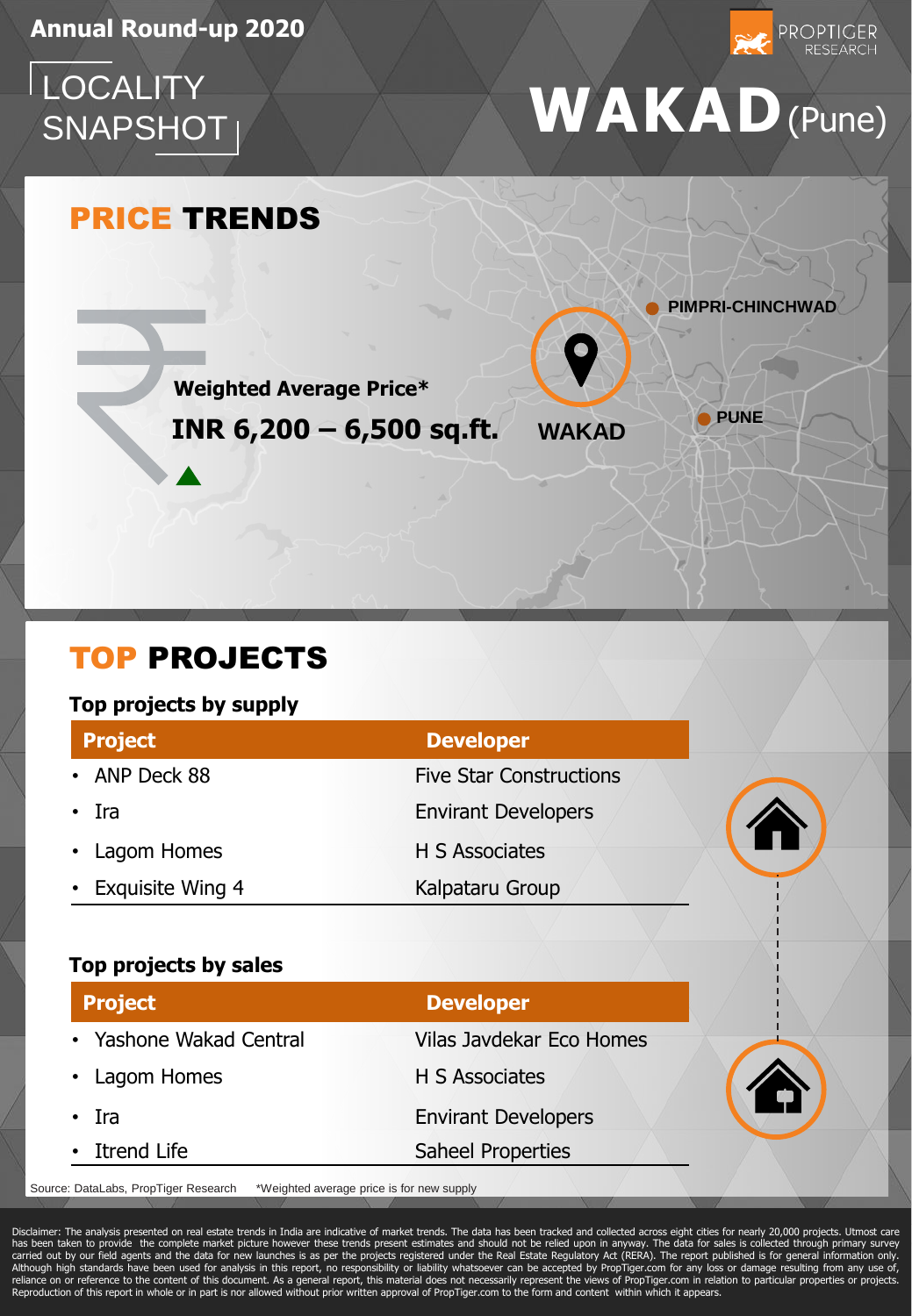## **LOCALITY** SNAPSHOT



**PROPTIGER** 

## **WAKAD**(Pune)

## PRICE TRENDS



### TOP PROJECTS

#### **Top projects by supply**

| <b>Project</b>     | <b>Developer</b>               |  |
|--------------------|--------------------------------|--|
| • ANP Deck 88      | <b>Five Star Constructions</b> |  |
| $\cdot$ Ira        | <b>Envirant Developers</b>     |  |
| • Lagom Homes      | H S Associates                 |  |
| • Exquisite Wing 4 | Kalpataru Group                |  |

#### **Top projects by sales**

| <b>Project</b>          | <b>Developer</b>           |           |
|-------------------------|----------------------------|-----------|
| • Yashone Wakad Central | Vilas Javdekar Eco Homes   |           |
| • Lagom Homes           | H S Associates             | $\bullet$ |
| - Ira                   | <b>Envirant Developers</b> |           |
| • Itrend Life           | <b>Saheel Properties</b>   |           |
|                         |                            |           |

Source: DataLabs, PropTiger Research \*Weighted average price is for new supply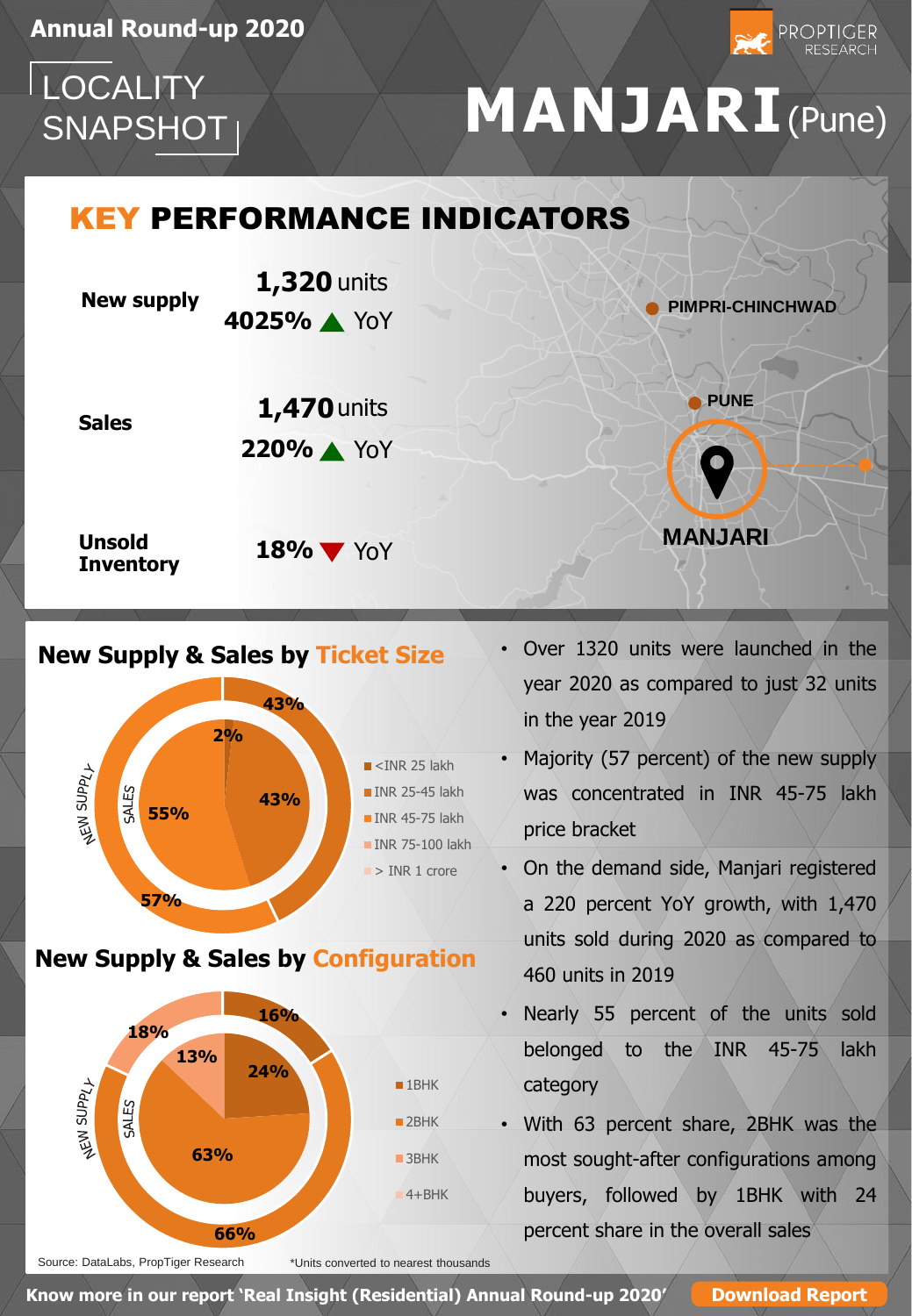# LOCALITY

## LOCALITY<br>SNAPSHOT<sub>I</sub> MANJARI(Pune)

PROPTIGER

## KEY PERFORMANCE INDICATORS



#### **New Supply & Sales by Ticket Size**



**New Supply & Sales by Configuration**



- Over 1320 units were launched in the year 2020 as compared to just 32 units in the year 2019
- Majority (57 percent) of the new supply was concentrated in INR 45-75 lakh price bracket
- On the demand side, Manjari registered a 220 percent YoY growth, with 1,470 units sold during 2020 as compared to 460 units in 2019
- Nearly 55 percent of the units sold belonged to the INR 45-75 lakh category
- With 63 percent share, 2BHK was the most sought-after configurations among buyers, followed by 1BHK with 24 percent share in the overall sales

Source: DataLabs, PropTiger Research

\*Units converted to nearest thousands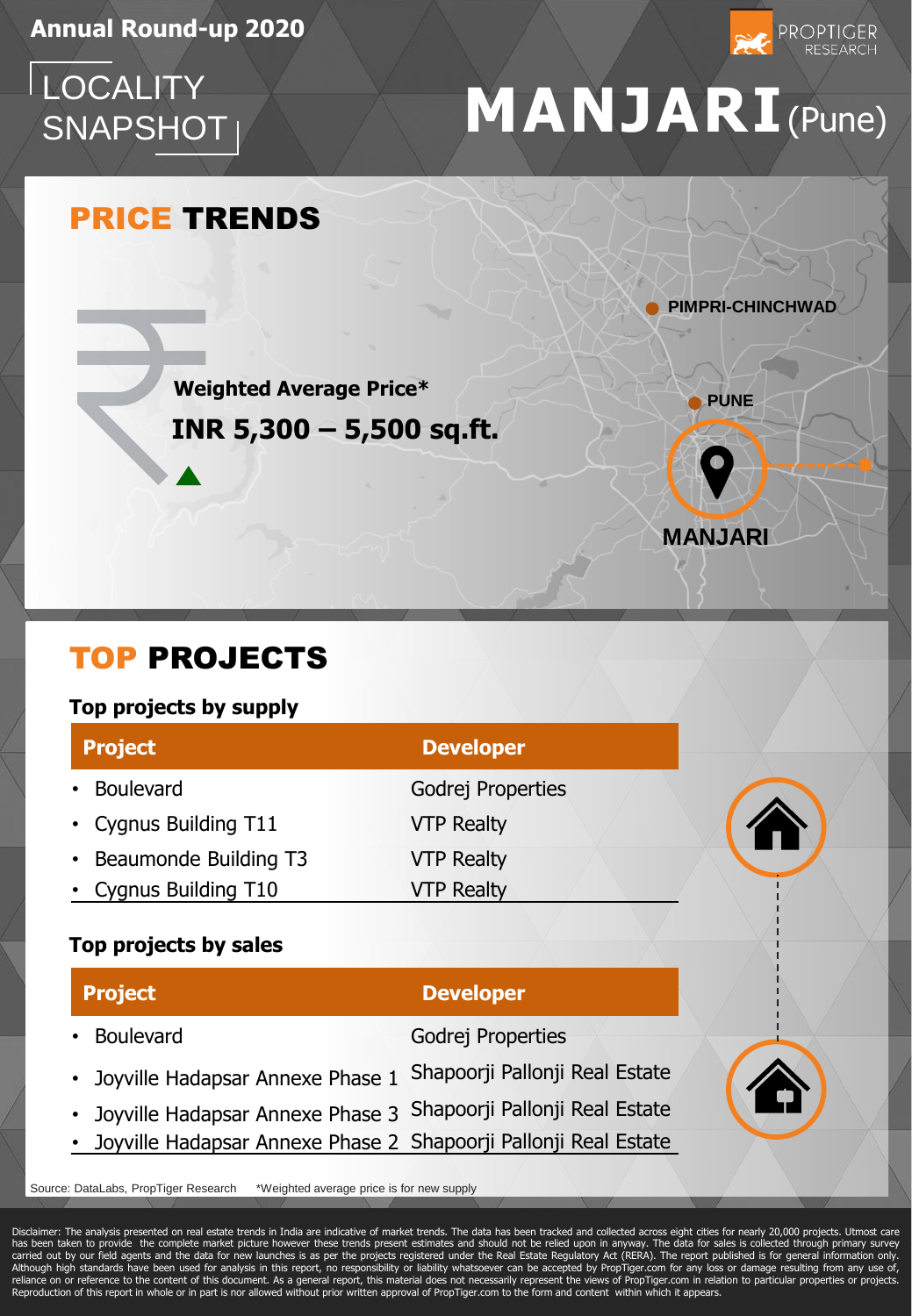**LOCALITY** 



### PRICE TRENDS

**PIMPRI-CHINCHWAD**

**Weighted Average Price\***

**INR 5,300 – 5,500 sq.ft.**



## TOP PROJECTS

#### **Top projects by supply**

| <b>Project</b>          | <b>Developer</b>  |   |
|-------------------------|-------------------|---|
| <b>Boulevard</b>        | Godrej Properties |   |
| • Cygnus Building T11   | <b>VTP Realty</b> | Đ |
| • Beaumonde Building T3 | <b>VTP Realty</b> |   |
| • Cygnus Building T10   | <b>VTP Realty</b> |   |

#### **Top projects by sales**

| <b>Project</b>                | <b>Developer</b>                                                  |   |
|-------------------------------|-------------------------------------------------------------------|---|
| <b>Boulevard</b><br>$\bullet$ | Godrej Properties                                                 |   |
|                               | · Joyville Hadapsar Annexe Phase 1 Shapoorji Pallonji Real Estate | Ð |
|                               | · Joyville Hadapsar Annexe Phase 3 Shapoorji Pallonji Real Estate |   |
|                               | · Joyville Hadapsar Annexe Phase 2 Shapoorji Pallonji Real Estate |   |

Source: DataLabs, PropTiger Research \*Weighted average price is for new supply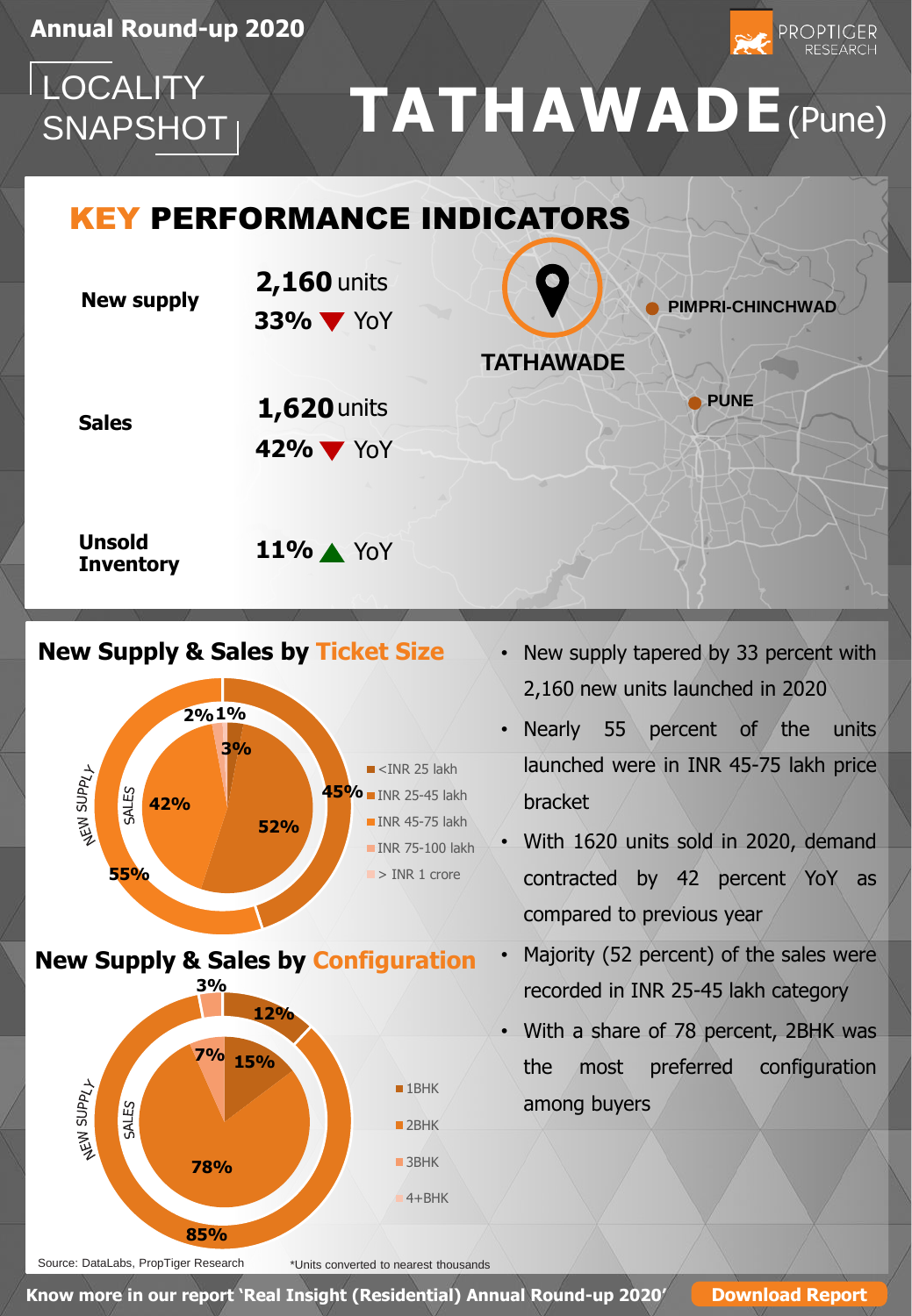# **LOCALITY**

## LOCALITY<br>SNAPSHOT」 TATHAWADE(Pune)

PROPTIGER

## KEY PERFORMANCE INDICATORS

| <b>New supply</b>                 | 2,160 units<br>33% VYOY  | O<br><b>PIMPRI-CHINCHWAD</b><br><b>TATHAWADE</b> |  |
|-----------------------------------|--------------------------|--------------------------------------------------|--|
| <b>Sales</b>                      | $1,620$ units<br>42% YoY | <b>PUNE</b>                                      |  |
| <b>Unsold</b><br><b>Inventory</b> | 11% YoY                  |                                                  |  |

#### **New Supply & Sales by Ticket Size**



- New supply tapered by 33 percent with 2,160 new units launched in 2020
- Nearly 55 percent of the units launched were in INR 45-75 lakh price bracket
- With 1620 units sold in 2020, demand contracted by 42 percent YoY as compared to previous year
- Majority (52 percent) of the sales were recorded in INR 25-45 lakh category
- With a share of 78 percent, 2BHK was the most preferred configuration among buyers

Source: DataLabs, PropTiger Research

\*Units converted to nearest thousands